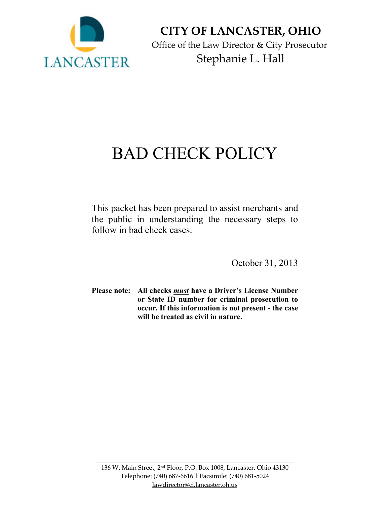

**CITY OF LANCASTER, OHIO** Office of the Law Director & City Prosecutor Stephanie L. Hall

## BAD CHECK POLICY

This packet has been prepared to assist merchants and the public in understanding the necessary steps to follow in bad check cases.

October 31, 2013

**Please note: All checks** *must* **have a Driver's License Number or State ID number for criminal prosecution to occur. If this information is not present - the case will be treated as civil in nature.**

\_\_\_\_\_\_\_\_\_\_\_\_\_\_\_\_\_\_\_\_\_\_\_\_\_\_\_\_\_\_\_\_\_\_\_\_\_\_\_\_\_\_\_\_\_\_\_\_\_\_\_\_\_\_\_\_\_\_\_\_\_\_\_\_\_\_\_\_\_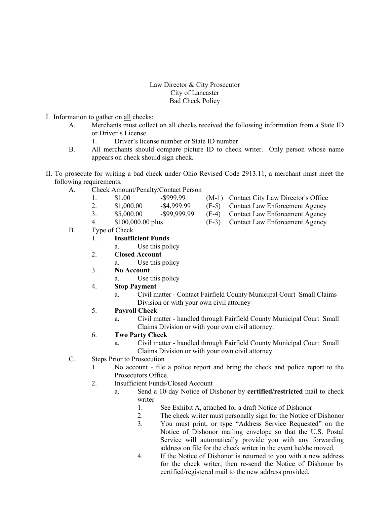## Law Director & City Prosecutor City of Lancaster Bad Check Policy

- I. Information to gather on all checks:
	- A. Merchants must collect on all checks received the following information from a State ID or Driver's License.
		- 1. Driver's license number or State ID number
	- B. All merchants should compare picture ID to check writer. Only person whose name appears on check should sign check.
- II. To prosecute for writing a bad check under Ohio Revised Code 2913.11, a merchant must meet the following requirements.
	- A. Check Amount/Penalty/Contact Person
		- 1.  $$1.00$   $$999.99$   $(M-1)$  Contact City Law Director's Office
		- 2. \$1,000.00 -\$4,999.99 (F-5) Contact Law Enforcement Agency
		- 3. \$5,000.00 -\$99,999.99 (F-4) Contact Law Enforcement Agency
		-
	- B. Type of Check
		- 1. **Insufficient Funds**
			- a. Use this policy
		- 2. **Closed Account**
			- a. Use this policy
		- 3. **No Account**
			- a. Use this policy
		- 4. **Stop Payment**
			- a. Civil matter Contact Fairfield County Municipal Court Small Claims Division or with your own civil attorney
		- 5. **Payroll Check**
			- a. Civil matter handled through Fairfield County Municipal Court Small Claims Division or with your own civil attorney.
		- 6. **Two Party Check** 
			- a. Civil matter handled through Fairfield County Municipal Court Small Claims Division or with your own civil attorney
	- C. Steps Prior to Prosecution
		- 1. No account file a police report and bring the check and police report to the Prosecutors Office.
		- 2. Insufficient Funds/Closed Account
			- a. Send a 10-day Notice of Dishonor by **certified/restricted** mail to check writer
				- 1. See Exhibit A, attached for a draft Notice of Dishonor
				- 2. The check writer must personally sign for the Notice of Dishonor
				- 3. You must print, or type "Address Service Requested" on the Notice of Dishonor mailing envelope so that the U.S. Postal Service will automatically provide you with any forwarding address on file for the check writer in the event he/she moved.
				- 4. If the Notice of Dishonor is returned to you with a new address for the check writer, then re-send the Notice of Dishonor by certified/registered mail to the new address provided.
- 
- 
- 
- 4. \$100,000.00 plus (F-3) Contact Law Enforcement Agency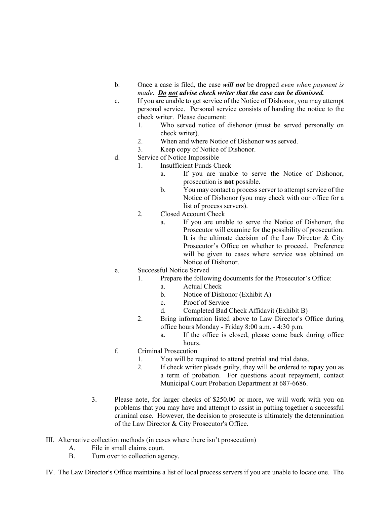- b. Once a case is filed, the case *will not* be dropped *even when payment is made*. *Do not advise check writer that the case can be dismissed.*
- c. If you are unable to get service of the Notice of Dishonor, you may attempt personal service. Personal service consists of handing the notice to the check writer. Please document:
	- 1. Who served notice of dishonor (must be served personally on check writer).
	- 2. When and where Notice of Dishonor was served.
	- 3. Keep copy of Notice of Dishonor.
- d. Service of Notice Impossible
	- 1. Insufficient Funds Check
		- a. If you are unable to serve the Notice of Dishonor, prosecution is **not** possible.
		- b. You may contact a process server to attempt service of the Notice of Dishonor (you may check with our office for a list of process servers).
	- 2. Closed Account Check
		- a. If you are unable to serve the Notice of Dishonor, the Prosecutor will examine for the possibility of prosecution. It is the ultimate decision of the Law Director & City Prosecutor's Office on whether to proceed. Preference will be given to cases where service was obtained on Notice of Dishonor.
- e. Successful Notice Served
	- 1. Prepare the following documents for the Prosecutor's Office:
		- a. Actual Check
		- b. Notice of Dishonor (Exhibit A)
		- c. Proof of Service
		- d. Completed Bad Check Affidavit (Exhibit B)
	- 2. Bring information listed above to Law Director's Office during office hours Monday - Friday 8:00 a.m. - 4:30 p.m.
		- a. If the office is closed, please come back during office hours.
- f. Criminal Prosecution
	- 1. You will be required to attend pretrial and trial dates.
	- 2. If check writer pleads guilty, they will be ordered to repay you as a term of probation. For questions about repayment, contact Municipal Court Probation Department at 687-6686.
- 3. Please note, for larger checks of \$250.00 or more, we will work with you on problems that you may have and attempt to assist in putting together a successful criminal case. However, the decision to prosecute is ultimately the determination of the Law Director  $& City$  Prosecutor's Office.
- III. Alternative collection methods (in cases where there isn't prosecution)
	- A. File in small claims court.
	- B. Turn over to collection agency.
- IV. The Law Director's Office maintains a list of local process servers if you are unable to locate one. The